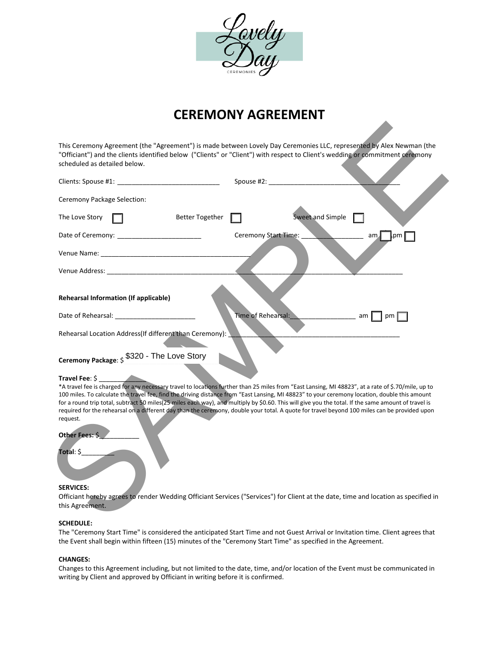

# **CEREMONY AGREEMENT**

| scheduled as detailed below.                                                                                                                                                                                                   | "Officiant") and the clients identified below ("Clients" or "Client") with respect to Client's wedding or commitment ceremony                                                                                                                                                                                                                                                                                                                        |
|--------------------------------------------------------------------------------------------------------------------------------------------------------------------------------------------------------------------------------|------------------------------------------------------------------------------------------------------------------------------------------------------------------------------------------------------------------------------------------------------------------------------------------------------------------------------------------------------------------------------------------------------------------------------------------------------|
|                                                                                                                                                                                                                                | Spouse #2: New York Products                                                                                                                                                                                                                                                                                                                                                                                                                         |
| Ceremony Package Selection:                                                                                                                                                                                                    |                                                                                                                                                                                                                                                                                                                                                                                                                                                      |
| The Love Story<br><b>Better Together</b>                                                                                                                                                                                       | Sweet and Simple                                                                                                                                                                                                                                                                                                                                                                                                                                     |
|                                                                                                                                                                                                                                | Ceremony Start Time:<br>am<br>∥.pm                                                                                                                                                                                                                                                                                                                                                                                                                   |
| Venue Name: The contract of the contract of the contract of the contract of the contract of the contract of the contract of the contract of the contract of the contract of the contract of the contract of the contract of th |                                                                                                                                                                                                                                                                                                                                                                                                                                                      |
|                                                                                                                                                                                                                                |                                                                                                                                                                                                                                                                                                                                                                                                                                                      |
| Rehearsal Location Address(If different than Ceremony):                                                                                                                                                                        |                                                                                                                                                                                                                                                                                                                                                                                                                                                      |
| <b>Rehearsal Information (If applicable)</b>                                                                                                                                                                                   | Time of Rehearsal:<br>am<br>pm 1                                                                                                                                                                                                                                                                                                                                                                                                                     |
| Ceremony Package: \$3320 - The Love Story                                                                                                                                                                                      |                                                                                                                                                                                                                                                                                                                                                                                                                                                      |
|                                                                                                                                                                                                                                |                                                                                                                                                                                                                                                                                                                                                                                                                                                      |
| Travel Fee: \$                                                                                                                                                                                                                 | *A travel fee is charged for any necessary travel to locations further than 25 miles from "East Lansing, MI 48823", at a rate of \$.70/mile, up to                                                                                                                                                                                                                                                                                                   |
|                                                                                                                                                                                                                                | 100 miles. To calculate the travel fee, find the driving distance from "East Lansing, MI 48823" to your ceremony location, double this amount<br>for a round trip total, subtract 50 miles(25 miles each way), and multiply by \$0.60. This will give you the total. If the same amount of travel is<br>required for the rehearsal on a different day than the ceremony, double your total. A quote for travel beyond 100 miles can be provided upon |
| request.                                                                                                                                                                                                                       |                                                                                                                                                                                                                                                                                                                                                                                                                                                      |
| Other Fees: \$                                                                                                                                                                                                                 |                                                                                                                                                                                                                                                                                                                                                                                                                                                      |
| Total: \$                                                                                                                                                                                                                      |                                                                                                                                                                                                                                                                                                                                                                                                                                                      |
|                                                                                                                                                                                                                                |                                                                                                                                                                                                                                                                                                                                                                                                                                                      |
| <b>SERVICES:</b>                                                                                                                                                                                                               | Officiant hereby agrees to render Wedding Officiant Services ("Services") for Client at the date, time and location as specified in                                                                                                                                                                                                                                                                                                                  |

#### **Travel Fee**: \$ \_\_\_\_\_\_\_\_\_\_\_\_\_

# **Other Fees:**

# **Total**: \$\_\_\_\_\_\_\_\_\_

#### **SERVICES:**

# **SCHEDULE:**

The "Ceremony Start Time" is considered the anticipated Start Time and not Guest Arrival or Invitation time. Client agrees that the Event shall begin within fifteen (15) minutes of the "Ceremony Start Time" as specified in the Agreement.

# **CHANGES:**

Changes to this Agreement including, but not limited to the date, time, and/or location of the Event must be communicated in writing by Client and approved by Officiant in writing before it is confirmed.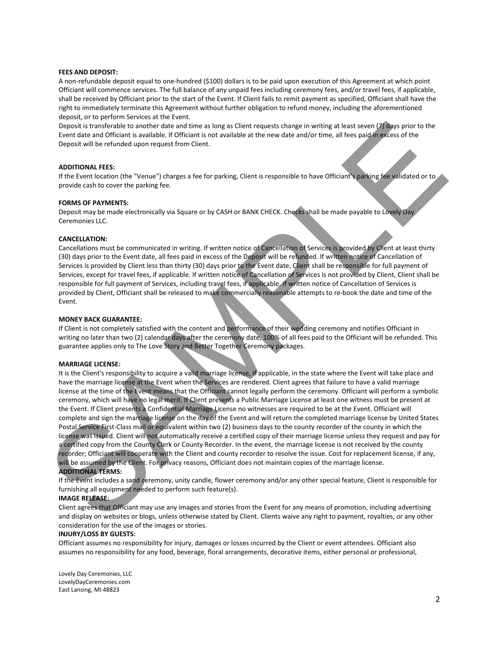#### **FEES AND DEPOSIT:**

A non-refundable deposit equal to one-hundred (\$100) dollars is to be paid upon execution of this Agreement at which point Officiant will commence services. The full balance of any unpaid fees including ceremony fees, and/or travel fees, if applicable, shall be received by Officiant prior to the start of the Event. If Client fails to remit payment as specified, Officiant shall have the right to immediately terminate this Agreement without further obligation to refund money, including the aforementioned deposit, or to perform Services at the Event.

Deposit is transferable to another date and time as long as Client requests change in writing at least seven (7) days prior to the Event date and Officiant is available. If Officiant is not available at the new date and/or time, all fees paid in excess of the Deposit will be refunded upon request from Client.

#### **ADDITIONAL FEES:**

If the Event location (the "Venue") charges a fee for parking, Client is responsible to have Officiant's parking fee validated or to provide cash to cover the parking fee.

#### **FORMS OF PAYMENTS:**

Deposit may be made electronically via Square or by CASH or BANK CHECK. Checks shall be made payable to Lovely Day Ceremonies LLC.

#### **CANCELLATION:**

Cancellations must be communicated in writing. If written notice of Cancellation of Services is provided by Client at least thirty (30) days prior to the Event date, all fees paid in excess of the Deposit will be refunded. If written notice of Cancellation of Services is provided by Client less than thirty (30) days prior to the Event date, Client shall be responsible for full payment of Services, except for travel fees, if applicable. If written notice of Cancellation of Services is not provided by Client, Client shall be responsible for full payment of Services, including travel fees, if applicable. If written notice of Cancellation of Services is provided by Client, Officiant shall be released to make commercially reasonable attempts to re-book the date and time of the Event.

#### **MONEY BACK GUARANTEE:**

If Client is not completely satisfied with the content and performance of their wedding ceremony and notifies Officiant in writing no later than two (2) calendar days after the ceremony date, 100% of all fees paid to the Officiant will be refunded. This guarantee applies only to The Love Story and Better Together Ceremony packages.

#### **MARRIAGE LICENSE:**

It is the Client's responsibility to acquire a valid marriage license, if applicable, in the state where the Event will take place and have the marriage license at the Event when the Services are rendered. Client agrees that failure to have a valid marriage license at the time of the Event means that the Officiant cannot legally perform the ceremony. Officiant will perform a symbolic ceremony, which will have no legal merit. If Client presents a Public Marriage License at least one witness must be present at the Event. If Client presents a Confidential Marriage License no witnesses are required to be at the Event. Officiant will complete and sign the marriage license on the day of the Event and will return the completed marriage license by United States Postal Service First-Class mail or equivalent within two (2) business days to the county recorder of the county in which the license was issued. Client will not automatically receive a certified copy of their marriage license unless they request and pay for a certified copy from the County Clerk or County Recorder. In the event, the marriage license is not received by the county recorder; Officiant will cooperate with the Client and county recorder to resolve the issue. Cost for replacement license, if any, will be assumed by the Client. For privacy reasons, Officiant does not maintain copies of the marriage license. **ADDITIONAL TERMS:** Dependix transfer as to another case and three as long as Clerk request change in writing is the specific distribution of the specific distribution of the specific distribution of the specific distribution of the specific

If the Event includes a sand ceremony, unity candle, flower ceremony and/or any other special feature, Client is responsible for furnishing all equipment needed to perform such feature(s).

#### **IMAGE RELEASE:**

Client agrees that Officiant may use any images and stories from the Event for any means of promotion, including advertising and display on websites or blogs, unless otherwise stated by Client. Clients waive any right to payment, royalties, or any other consideration for the use of the images or stories.

#### **INJURY/LOSS BY GUESTS:**

Officiant assumes no responsibility for injury, damages or losses incurred by the Client or event attendees. Officiant also assumes no responsibility for any food, beverage, floral arrangements, decorative items, either personal or professional,

Lovely Day Ceremonies, LLC LovelyDayCeremonies.com East Lansing, MI 48823